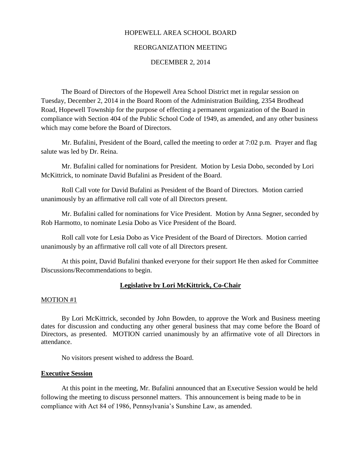## HOPEWELL AREA SCHOOL BOARD

## REORGANIZATION MEETING

### DECEMBER 2, 2014

The Board of Directors of the Hopewell Area School District met in regular session on Tuesday, December 2, 2014 in the Board Room of the Administration Building, 2354 Brodhead Road, Hopewell Township for the purpose of effecting a permanent organization of the Board in compliance with Section 404 of the Public School Code of 1949, as amended, and any other business which may come before the Board of Directors.

Mr. Bufalini, President of the Board, called the meeting to order at 7:02 p.m. Prayer and flag salute was led by Dr. Reina.

Mr. Bufalini called for nominations for President. Motion by Lesia Dobo, seconded by Lori McKittrick, to nominate David Bufalini as President of the Board.

Roll Call vote for David Bufalini as President of the Board of Directors. Motion carried unanimously by an affirmative roll call vote of all Directors present.

Mr. Bufalini called for nominations for Vice President. Motion by Anna Segner, seconded by Rob Harmotto, to nominate Lesia Dobo as Vice President of the Board.

Roll call vote for Lesia Dobo as Vice President of the Board of Directors. Motion carried unanimously by an affirmative roll call vote of all Directors present.

At this point, David Bufalini thanked everyone for their support He then asked for Committee Discussions/Recommendations to begin.

## **Legislative by Lori McKittrick, Co-Chair**

#### MOTION #1

By Lori McKittrick, seconded by John Bowden, to approve the Work and Business meeting dates for discussion and conducting any other general business that may come before the Board of Directors, as presented. MOTION carried unanimously by an affirmative vote of all Directors in attendance.

No visitors present wished to address the Board.

### **Executive Session**

At this point in the meeting, Mr. Bufalini announced that an Executive Session would be held following the meeting to discuss personnel matters. This announcement is being made to be in compliance with Act 84 of 1986, Pennsylvania's Sunshine Law, as amended.